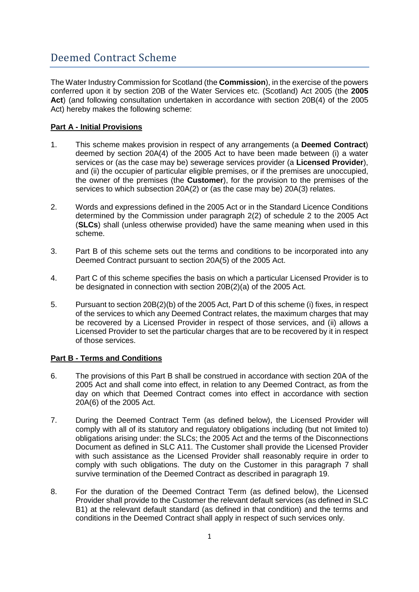# Deemed Contract Scheme

The Water Industry Commission for Scotland (the **Commission**), in the exercise of the powers conferred upon it by section 20B of the Water Services etc. (Scotland) Act 2005 (the **2005 Act**) (and following consultation undertaken in accordance with section 20B(4) of the 2005 Act) hereby makes the following scheme:

## **Part A - Initial Provisions**

- 1. This scheme makes provision in respect of any arrangements (a **Deemed Contract**) deemed by section 20A(4) of the 2005 Act to have been made between (i) a water services or (as the case may be) sewerage services provider (a **Licensed Provider**), and (ii) the occupier of particular eligible premises, or if the premises are unoccupied, the owner of the premises (the **Customer**), for the provision to the premises of the services to which subsection 20A(2) or (as the case may be) 20A(3) relates.
- 2. Words and expressions defined in the 2005 Act or in the Standard Licence Conditions determined by the Commission under paragraph 2(2) of schedule 2 to the 2005 Act (**SLCs**) shall (unless otherwise provided) have the same meaning when used in this scheme.
- 3. Part B of this scheme sets out the terms and conditions to be incorporated into any Deemed Contract pursuant to section 20A(5) of the 2005 Act.
- 4. Part C of this scheme specifies the basis on which a particular Licensed Provider is to be designated in connection with section 20B(2)(a) of the 2005 Act.
- 5. Pursuant to section 20B(2)(b) of the 2005 Act, Part D of this scheme (i) fixes, in respect of the services to which any Deemed Contract relates, the maximum charges that may be recovered by a Licensed Provider in respect of those services, and (ii) allows a Licensed Provider to set the particular charges that are to be recovered by it in respect of those services.

### **Part B - Terms and Conditions**

- 6. The provisions of this Part B shall be construed in accordance with section 20A of the 2005 Act and shall come into effect, in relation to any Deemed Contract, as from the day on which that Deemed Contract comes into effect in accordance with section 20A(6) of the 2005 Act.
- 7. During the Deemed Contract Term (as defined below), the Licensed Provider will comply with all of its statutory and regulatory obligations including (but not limited to) obligations arising under: the SLCs; the 2005 Act and the terms of the Disconnections Document as defined in SLC A11. The Customer shall provide the Licensed Provider with such assistance as the Licensed Provider shall reasonably require in order to comply with such obligations. The duty on the Customer in this paragraph 7 shall survive termination of the Deemed Contract as described in paragraph 19.
- 8. For the duration of the Deemed Contract Term (as defined below), the Licensed Provider shall provide to the Customer the relevant default services (as defined in SLC B1) at the relevant default standard (as defined in that condition) and the terms and conditions in the Deemed Contract shall apply in respect of such services only.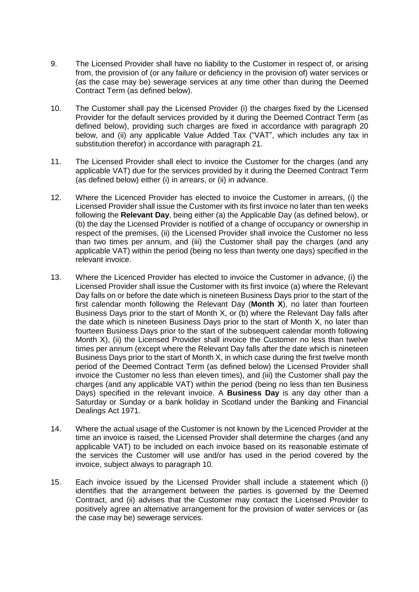- 9. The Licensed Provider shall have no liability to the Customer in respect of, or arising from, the provision of (or any failure or deficiency in the provision of) water services or (as the case may be) sewerage services at any time other than during the Deemed Contract Term (as defined below).
- 10. The Customer shall pay the Licensed Provider (i) the charges fixed by the Licensed Provider for the default services provided by it during the Deemed Contract Term (as defined below), providing such charges are fixed in accordance with paragraph 20 below, and (ii) any applicable Value Added Tax ("VAT", which includes any tax in substitution therefor) in accordance with paragraph 21.
- 11. The Licensed Provider shall elect to invoice the Customer for the charges (and any applicable VAT) due for the services provided by it during the Deemed Contract Term (as defined below) either (i) in arrears, or (ii) in advance.
- 12. Where the Licenced Provider has elected to invoice the Customer in arrears, (i) the Licensed Provider shall issue the Customer with its first invoice no later than ten weeks following the **Relevant Day**, being either (a) the Applicable Day (as defined below), or (b) the day the Licensed Provider is notified of a change of occupancy or ownership in respect of the premises, (ii) the Licensed Provider shall invoice the Customer no less than two times per annum, and (iii) the Customer shall pay the charges (and any applicable VAT) within the period (being no less than twenty one days) specified in the relevant invoice.
- 13. Where the Licenced Provider has elected to invoice the Customer in advance, (i) the Licensed Provider shall issue the Customer with its first invoice (a) where the Relevant Day falls on or before the date which is nineteen Business Days prior to the start of the first calendar month following the Relevant Day (**Month X**), no later than fourteen Business Days prior to the start of Month X, or (b) where the Relevant Day falls after the date which is nineteen Business Days prior to the start of Month X, no later than fourteen Business Days prior to the start of the subsequent calendar month following Month X), (ii) the Licensed Provider shall invoice the Customer no less than twelve times per annum (except where the Relevant Day falls after the date which is nineteen Business Days prior to the start of Month X, in which case during the first twelve month period of the Deemed Contract Term (as defined below) the Licensed Provider shall invoice the Customer no less than eleven times), and (iii) the Customer shall pay the charges (and any applicable VAT) within the period (being no less than ten Business Days) specified in the relevant invoice. A **Business Day** is any day other than a Saturday or Sunday or a bank holiday in Scotland under the Banking and Financial Dealings Act 1971.
- 14. Where the actual usage of the Customer is not known by the Licenced Provider at the time an invoice is raised, the Licensed Provider shall determine the charges (and any applicable VAT) to be included on each invoice based on its reasonable estimate of the services the Customer will use and/or has used in the period covered by the invoice, subject always to paragraph 10.
- 15. Each invoice issued by the Licensed Provider shall include a statement which (i) identifies that the arrangement between the parties is governed by the Deemed Contract, and (ii) advises that the Customer may contact the Licensed Provider to positively agree an alternative arrangement for the provision of water services or (as the case may be) sewerage services.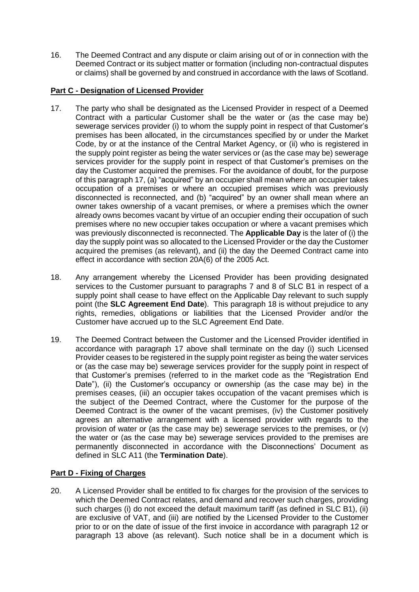16. The Deemed Contract and any dispute or claim arising out of or in connection with the Deemed Contract or its subject matter or formation (including non-contractual disputes or claims) shall be governed by and construed in accordance with the laws of Scotland.

## **Part C - Designation of Licensed Provider**

- 17. The party who shall be designated as the Licensed Provider in respect of a Deemed Contract with a particular Customer shall be the water or (as the case may be) sewerage services provider (i) to whom the supply point in respect of that Customer's premises has been allocated, in the circumstances specified by or under the Market Code, by or at the instance of the Central Market Agency, or (ii) who is registered in the supply point register as being the water services or (as the case may be) sewerage services provider for the supply point in respect of that Customer's premises on the day the Customer acquired the premises. For the avoidance of doubt, for the purpose of this paragraph 17, (a) "acquired" by an occupier shall mean where an occupier takes occupation of a premises or where an occupied premises which was previously disconnected is reconnected, and (b) "acquired" by an owner shall mean where an owner takes ownership of a vacant premises, or where a premises which the owner already owns becomes vacant by virtue of an occupier ending their occupation of such premises where no new occupier takes occupation or where a vacant premises which was previously disconnected is reconnected. The **Applicable Day** is the later of (i) the day the supply point was so allocated to the Licensed Provider or the day the Customer acquired the premises (as relevant), and (ii) the day the Deemed Contract came into effect in accordance with section 20A(6) of the 2005 Act.
- 18. Any arrangement whereby the Licensed Provider has been providing designated services to the Customer pursuant to paragraphs 7 and 8 of SLC B1 in respect of a supply point shall cease to have effect on the Applicable Day relevant to such supply point (the **SLC Agreement End Date**). This paragraph 18 is without prejudice to any rights, remedies, obligations or liabilities that the Licensed Provider and/or the Customer have accrued up to the SLC Agreement End Date.
- 19. The Deemed Contract between the Customer and the Licensed Provider identified in accordance with paragraph 17 above shall terminate on the day (i) such Licensed Provider ceases to be registered in the supply point register as being the water services or (as the case may be) sewerage services provider for the supply point in respect of that Customer's premises (referred to in the market code as the "Registration End Date"), (ii) the Customer's occupancy or ownership (as the case may be) in the premises ceases, (iii) an occupier takes occupation of the vacant premises which is the subject of the Deemed Contract, where the Customer for the purpose of the Deemed Contract is the owner of the vacant premises, (iv) the Customer positively agrees an alternative arrangement with a licensed provider with regards to the provision of water or (as the case may be) sewerage services to the premises, or (v) the water or (as the case may be) sewerage services provided to the premises are permanently disconnected in accordance with the Disconnections' Document as defined in SLC A11 (the **Termination Date**).

### **Part D - Fixing of Charges**

20. A Licensed Provider shall be entitled to fix charges for the provision of the services to which the Deemed Contract relates, and demand and recover such charges, providing such charges (i) do not exceed the default maximum tariff (as defined in SLC B1), (ii) are exclusive of VAT, and (iii) are notified by the Licensed Provider to the Customer prior to or on the date of issue of the first invoice in accordance with paragraph 12 or paragraph 13 above (as relevant). Such notice shall be in a document which is